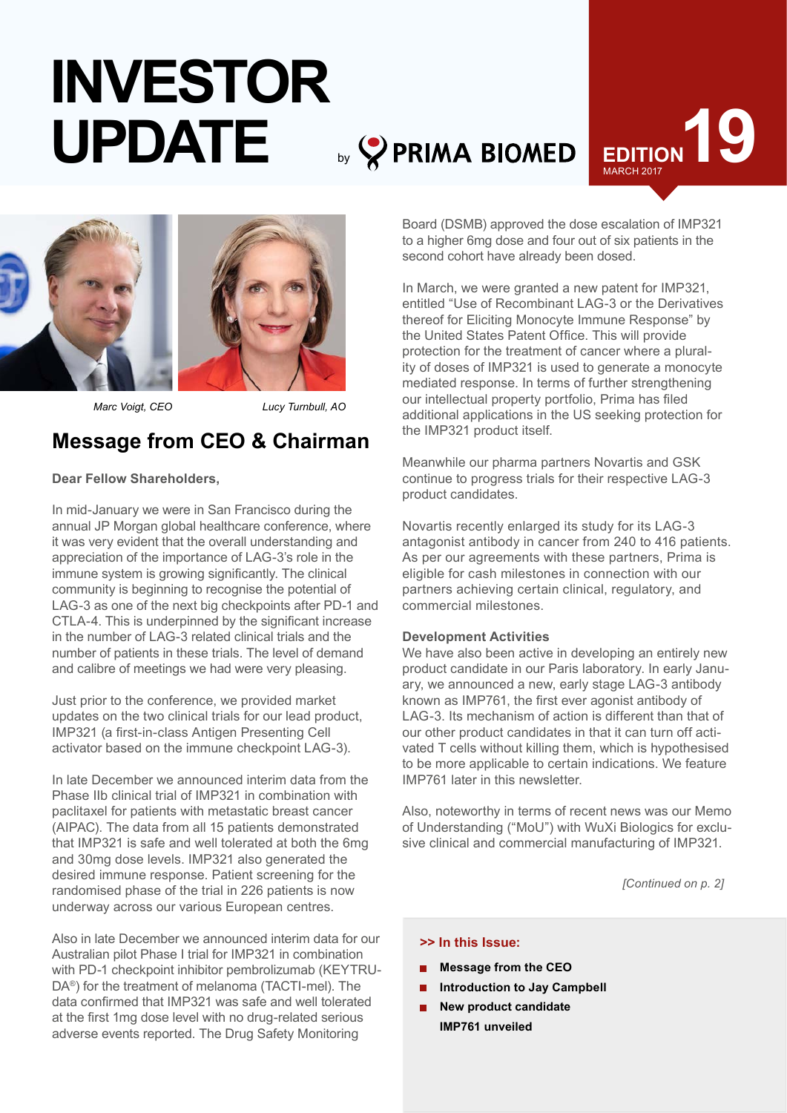# by **8** PRIMA BIOMED EDITION **INVESTOR UPDATE**





*Marc Voigt, CEO*

*Lucy Turnbull, AO*

# **Message from CEO & Chairman**

### **Dear Fellow Shareholders,**

In mid-January we were in San Francisco during the annual JP Morgan global healthcare conference, where it was very evident that the overall understanding and appreciation of the importance of LAG-3's role in the immune system is growing significantly. The clinical community is beginning to recognise the potential of LAG-3 as one of the next big checkpoints after PD-1 and CTLA-4. This is underpinned by the significant increase in the number of LAG-3 related clinical trials and the number of patients in these trials. The level of demand and calibre of meetings we had were very pleasing.

Just prior to the conference, we provided market updates on the two clinical trials for our lead product, IMP321 (a first-in-class Antigen Presenting Cell activator based on the immune checkpoint LAG-3).

In late December we announced interim data from the Phase IIb clinical trial of IMP321 in combination with paclitaxel for patients with metastatic breast cancer (AIPAC). The data from all 15 patients demonstrated that IMP321 is safe and well tolerated at both the 6mg and 30mg dose levels. IMP321 also generated the desired immune response. Patient screening for the randomised phase of the trial in 226 patients is now underway across our various European centres.

Also in late December we announced interim data for our Australian pilot Phase I trial for IMP321 in combination with PD-1 checkpoint inhibitor pembrolizumab (KEYTRU-DA®) for the treatment of melanoma (TACTI-mel). The data confirmed that IMP321 was safe and well tolerated at the first 1mg dose level with no drug-related serious adverse events reported. The Drug Safety Monitoring

Board (DSMB) approved the dose escalation of IMP321 to a higher 6mg dose and four out of six patients in the second cohort have already been dosed.

In March, we were granted a new patent for IMP321, entitled "Use of Recombinant LAG-3 or the Derivatives thereof for Eliciting Monocyte Immune Response" by the United States Patent Office. This will provide protection for the treatment of cancer where a plurality of doses of IMP321 is used to generate a monocyte mediated response. In terms of further strengthening our intellectual property portfolio, Prima has filed additional applications in the US seeking protection for the IMP321 product itself.

Meanwhile our pharma partners Novartis and GSK continue to progress trials for their respective LAG-3 product candidates.

Novartis recently enlarged its study for its LAG-3 antagonist antibody in cancer from 240 to 416 patients. As per our agreements with these partners, Prima is eligible for cash milestones in connection with our partners achieving certain clinical, regulatory, and commercial milestones.

### **Development Activities**

We have also been active in developing an entirely new product candidate in our Paris laboratory. In early January, we announced a new, early stage LAG-3 antibody known as IMP761, the first ever agonist antibody of LAG-3. Its mechanism of action is different than that of our other product candidates in that it can turn off activated T cells without killing them, which is hypothesised to be more applicable to certain indications. We feature IMP761 later in this newsletter.

Also, noteworthy in terms of recent news was our Memo of Understanding ("MoU") with WuXi Biologics for exclusive clinical and commercial manufacturing of IMP321.

*[Continued on p. 2]*

### **>> In this Issue:**

- **Message from the CEO**
- **Introduction to Jay Campbell**
- ÷ **New product candidate IMP761 unveiled**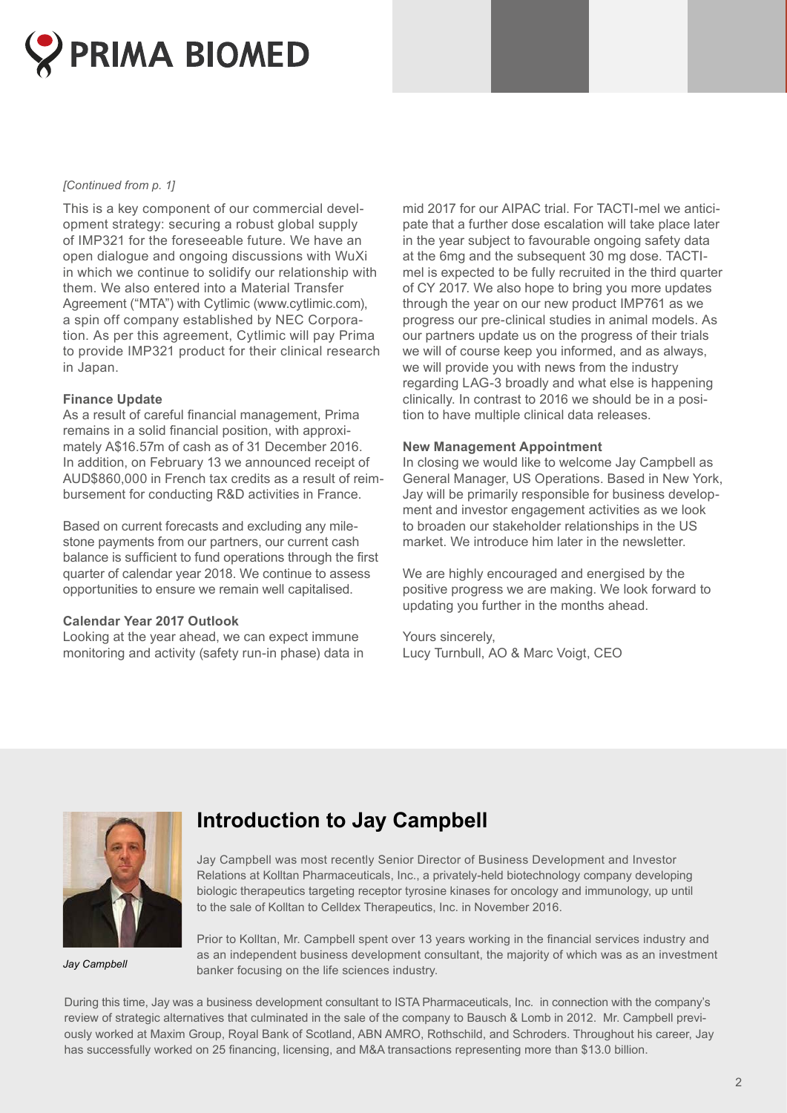

#### *[Continued from p. 1]*

This is a key component of our commercial development strategy: securing a robust global supply of IMP321 for the foreseeable future. We have an open dialogue and ongoing discussions with WuXi in which we continue to solidify our relationship with them. We also entered into a Material Transfer Agreement ("MTA") with Cytlimic [\(www.cytlimic.com](http://www.cytlimic.com)), a spin off company established by NEC Corporation. As per this agreement, Cytlimic will pay Prima to provide IMP321 product for their clinical research in Japan.

#### **Finance Update**

As a result of careful financial management, Prima remains in a solid financial position, with approximately A\$16.57m of cash as of 31 December 2016. In addition, on February 13 we announced receipt of AUD\$860,000 in French tax credits as a result of reimbursement for conducting R&D activities in France.

Based on current forecasts and excluding any milestone payments from our partners, our current cash balance is sufficient to fund operations through the first quarter of calendar year 2018. We continue to assess opportunities to ensure we remain well capitalised.

#### **Calendar Year 2017 Outlook**

Looking at the year ahead, we can expect immune monitoring and activity (safety run-in phase) data in

mid 2017 for our AIPAC trial. For TACTI-mel we anticipate that a further dose escalation will take place later in the year subject to favourable ongoing safety data at the 6mg and the subsequent 30 mg dose. TACTImel is expected to be fully recruited in the third quarter of CY 2017. We also hope to bring you more updates through the year on our new product IMP761 as we progress our pre-clinical studies in animal models. As our partners update us on the progress of their trials we will of course keep you informed, and as always, we will provide you with news from the industry regarding LAG-3 broadly and what else is happening clinically. In contrast to 2016 we should be in a position to have multiple clinical data releases.

#### **New Management Appointment**

In closing we would like to welcome Jay Campbell as General Manager, US Operations. Based in New York, Jay will be primarily responsible for business development and investor engagement activities as we look to broaden our stakeholder relationships in the US market. We introduce him later in the newsletter.

We are highly encouraged and energised by the positive progress we are making. We look forward to updating you further in the months ahead.

Yours sincerely, Lucy Turnbull, AO & Marc Voigt, CEO



*Jay Campbell* 

# **Introduction to Jay Campbell**

Jay Campbell was most recently Senior Director of Business Development and Investor Relations at Kolltan Pharmaceuticals, Inc., a privately-held biotechnology company developing biologic therapeutics targeting receptor tyrosine kinases for oncology and immunology, up until to the sale of Kolltan to Celldex Therapeutics, Inc. in November 2016.

Prior to Kolltan, Mr. Campbell spent over 13 years working in the financial services industry and as an independent business development consultant, the majority of which was as an investment banker focusing on the life sciences industry.

During this time, Jay was a business development consultant to ISTA Pharmaceuticals, Inc. in connection with the company's review of strategic alternatives that culminated in the sale of the company to Bausch & Lomb in 2012. Mr. Campbell previously worked at Maxim Group, Royal Bank of Scotland, ABN AMRO, Rothschild, and Schroders. Throughout his career, Jay has successfully worked on 25 financing, licensing, and M&A transactions representing more than \$13.0 billion.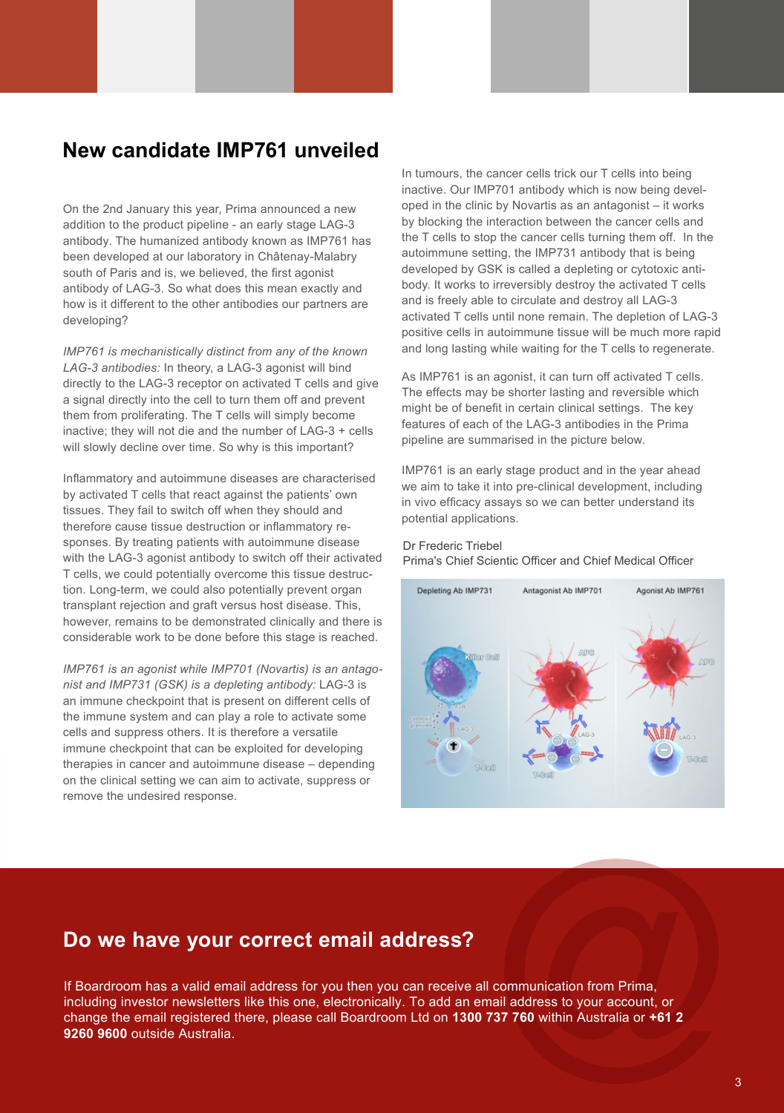## **New candidate IMP761 unveiled**

On the 2nd January this year, Prima announced a new addition to the product pipeline - an early stage LAG-3 antibody. The humanized antibody known as IMP761 has been developed at our laboratory in Châtenay-Malabry south of Paris and is, we believed, the first agonist antibody of LAG-3. So what does this mean exactly and how is it different to the other antibodies our partners are developing?

*IMP761 is mechanistically distinct from any of the known LAG-3 antibodies:* In theory, a LAG-3 agonist will bind directly to the LAG-3 receptor on activated T cells and give a signal directly into the cell to turn them off and prevent them from proliferating. The T cells will simply become inactive; they will not die and the number of LAG-3 + cells will slowly decline over time. So why is this important?

Inflammatory and autoimmune diseases are characterised by activated T cells that react against the patients' own tissues. They fail to switch off when they should and therefore cause tissue destruction or inflammatory responses. By treating patients with autoimmune disease with the LAG-3 agonist antibody to switch off their activated T cells, we could potentially overcome this tissue destruction. Long-term, we could also potentially prevent organ transplant rejection and graft versus host disease. This, however, remains to be demonstrated clinically and there is considerable work to be done before this stage is reached.

*IMP761 is an agonist while IMP701 (Novartis) is an antagonist and IMP731 (GSK) is a depleting antibody:* LAG-3 is an immune checkpoint that is present on different cells of the immune system and can play a role to activate some cells and suppress others. It is therefore a versatile immune checkpoint that can be exploited for developing therapies in cancer and autoimmune disease – depending on the clinical setting we can aim to activate, suppress or remove the undesired response.

In tumours, the cancer cells trick our T cells into being inactive. Our IMP701 antibody which is now being developed in the clinic by Novartis as an antagonist – it works by blocking the interaction between the cancer cells and the T cells to stop the cancer cells turning them off. In the autoimmune setting, the IMP731 antibody that is being developed by GSK is called a depleting or cytotoxic antibody. It works to irreversibly destroy the activated T cells and is freely able to circulate and destroy all LAG-3 activated T cells until none remain. The depletion of LAG-3 positive cells in autoimmune tissue will be much more rapid and long lasting while waiting for the T cells to regenerate.

As IMP761 is an agonist, it can turn off activated T cells. The effects may be shorter lasting and reversible which might be of benefit in certain clinical settings. The key features of each of the LAG-3 antibodies in the Prima pipeline are summarised in the picture below.

IMP761 is an early stage product and in the year ahead we aim to take it into pre-clinical development, including in vivo efficacy assays so we can better understand its potential applications.

#### Dr Frederic Triebel Prima's Chief Scientic Officer and Chief Medical Officer



### **Do we have your correct email address?**

If Boardroom has a valid email address for you then you can receive all communication from Prima, including investor newsletters like this one, electronically. To add an email address to your account, or change the email registered there, please call Boardroom Ltd on **1300 737 760** within Australia or **+61 2 9260 9600** outside Australia.